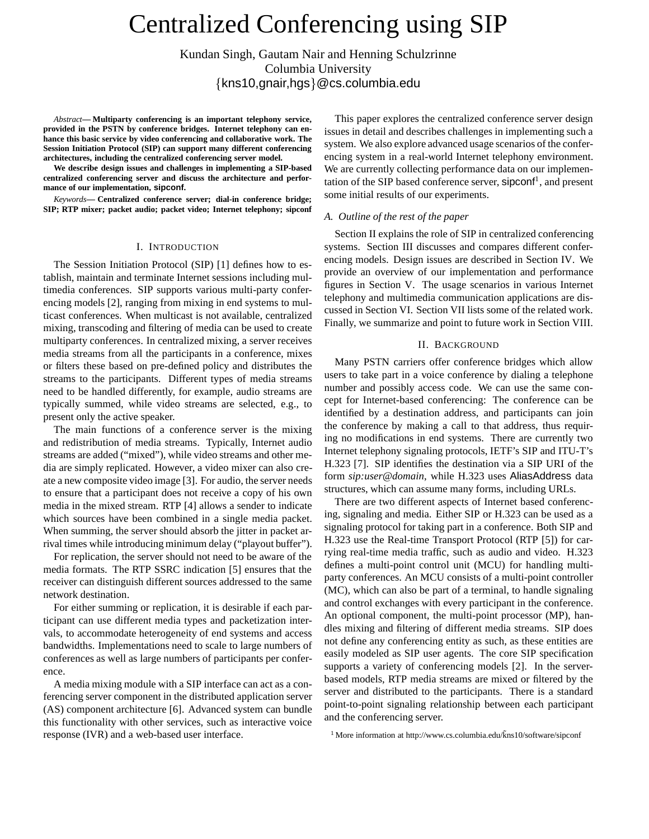# Centralized Conferencing using SIP

Kundan Singh, Gautam Nair and Henning Schulzrinne Columbia University  ${kns10, qnair, hgs} @cs.columbia.edu$ 

*Abstract***— Multiparty conferencing is an important telephony service, provided in the PSTN by conference bridges. Internet telephony can enhance this basic service by video conferencing and collaborative work. The Session Initiation Protocol (SIP) can support many different conferencing architectures, including the centralized conferencing server model.**

**We describe design issues and challenges in implementing a SIP-based centralized conferencing server and discuss the architecture and performance of our implementation, sipconf.**

*Keywords***— Centralized conference server; dial-in conference bridge; SIP; RTP mixer; packet audio; packet video; Internet telephony; sipconf**

# I. INTRODUCTION

The Session Initiation Protocol (SIP) [1] defines how to establish, maintain and terminate Internet sessions including multimedia conferences. SIP supports various multi-party conferencing models [2], ranging from mixing in end systems to multicast conferences. When multicast is not available, centralized mixing, transcoding and filtering of media can be used to create multiparty conferences. In centralized mixing, a server receives media streams from all the participants in a conference, mixes or filters these based on pre-defined policy and distributes the streams to the participants. Different types of media streams need to be handled differently, for example, audio streams are typically summed, while video streams are selected, e.g., to present only the active speaker.

The main functions of a conference server is the mixing and redistribution of media streams. Typically, Internet audio streams are added ("mixed"), while video streams and other media are simply replicated. However, a video mixer can also create a new composite video image [3]. For audio, the server needs to ensure that a participant does not receive a copy of his own media in the mixed stream. RTP [4] allows a sender to indicate which sources have been combined in a single media packet. When summing, the server should absorb the jitter in packet arrival times while introducing minimum delay ("playout buffer").

For replication, the server should not need to be aware of the media formats. The RTP SSRC indication [5] ensures that the receiver can distinguish different sources addressed to the same network destination.

For either summing or replication, it is desirable if each participant can use different media types and packetization intervals, to accommodate heterogeneity of end systems and access bandwidths. Implementations need to scale to large numbers of conferences as well as large numbers of participants per conference.

A media mixing module with a SIP interface can act as a conferencing server component in the distributed application server (AS) component architecture [6]. Advanced system can bundle this functionality with other services, such as interactive voice response (IVR) and a web-based user interface.

This paper explores the centralized conference server design issues in detail and describes challenges in implementing such a system. We also explore advanced usage scenarios of the conferencing system in a real-world Internet telephony environment. We are currently collecting performance data on our implementation of the SIP based conference server, sipconf<sup>1</sup>, and present some initial results of our experiments.

# *A. Outline of the rest of the paper*

Section II explains the role of SIP in centralized conferencing systems. Section III discusses and compares different conferencing models. Design issues are described in Section IV. We provide an overview of our implementation and performance figures in Section V. The usage scenarios in various Internet telephony and multimedia communication applications are discussed in Section VI. Section VII lists some of the related work. Finally, we summarize and point to future work in Section VIII.

# II. BACKGROUND

Many PSTN carriers offer conference bridges which allow users to take part in a voice conference by dialing a telephone number and possibly access code. We can use the same concept for Internet-based conferencing: The conference can be identified by a destination address, and participants can join the conference by making a call to that address, thus requiring no modifications in end systems. There are currently two Internet telephony signaling protocols, IETF's SIP and ITU-T's H.323 [7]. SIP identifies the destination via a SIP URI of the form *sip:user@domain*, while H.323 uses AliasAddress data structures, which can assume many forms, including URLs.

There are two different aspects of Internet based conferencing, signaling and media. Either SIP or H.323 can be used as a signaling protocol for taking part in a conference. Both SIP and H.323 use the Real-time Transport Protocol (RTP [5]) for carrying real-time media traffic, such as audio and video. H.323 defines a multi-point control unit (MCU) for handling multiparty conferences. An MCU consists of a multi-point controller (MC), which can also be part of a terminal, to handle signaling and control exchanges with every participant in the conference. An optional component, the multi-point processor (MP), handles mixing and filtering of different media streams. SIP does not define any conferencing entity as such, as these entities are easily modeled as SIP user agents. The core SIP specification supports a variety of conferencing models [2]. In the serverbased models, RTP media streams are mixed or filtered by the server and distributed to the participants. There is a standard point-to-point signaling relationship between each participant and the conferencing server.

<sup>1</sup>More information at http://www.cs.columbia.edu/kns10/software/sipconf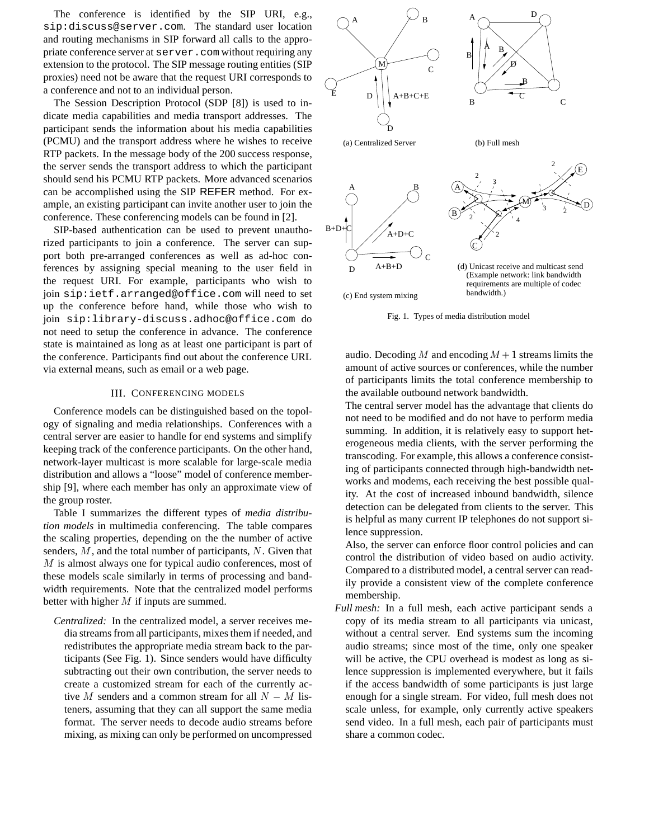The conference is identified by the SIP URI, e.g., sip:discuss@server.com. The standard user location and routing mechanisms in SIP forward all calls to the appropriate conference server at server.com without requiring any extension to the protocol. The SIP message routing entities (SIP proxies) need not be aware that the request URI corresponds to a conference and not to an individual person.

The Session Description Protocol (SDP [8]) is used to indicate media capabilities and media transport addresses. The participant sends the information about his media capabilities (PCMU) and the transport address where he wishes to receive RTP packets. In the message body of the 200 success response, the server sends the transport address to which the participant should send his PCMU RTP packets. More advanced scenarios can be accomplished using the SIP REFER method. For example, an existing participant can invite another user to join the conference. These conferencing models can be found in [2].

SIP-based authentication can be used to prevent unauthorized participants to join a conference. The server can support both pre-arranged conferences as well as ad-hoc conferences by assigning special meaning to the user field in the request URI. For example, participants who wish to join sip:ietf.arranged@office.com will need to set up the conference before hand, while those who wish to join sip:library-discuss.adhoc@office.com do not need to setup the conference in advance. The conference state is maintained as long as at least one participant is part of the conference. Participants find out about the conference URL via external means, such as email or a web page.

# III. CONFERENCING MODELS

Conference models can be distinguished based on the topology of signaling and media relationships. Conferences with a central server are easier to handle for end systems and simplify keeping track of the conference participants. On the other hand, network-layer multicast is more scalable for large-scale media distribution and allows a "loose" model of conference membership [9], where each member has only an approximate view of the group roster.

Table I summarizes the different types of *media distribution models* in multimedia conferencing. The table compares the scaling properties, depending on the the number of active senders,  $M$ , and the total number of participants,  $N$ . Given that M is almost always one for typical audio conferences, most of these models scale similarly in terms of processing and bandwidth requirements. Note that the centralized model performs better with higher  $M$  if inputs are summed.

*Centralized:* In the centralized model, a server receives media streams from all participants, mixes them if needed, and redistributes the appropriate media stream back to the participants (See Fig. 1). Since senders would have difficulty subtracting out their own contribution, the server needs to create a customized stream for each of the currently active M senders and a common stream for all  $N - M$  listeners, assuming that they can all support the same media format. The server needs to decode audio streams before mixing, as mixing can only be performed on uncompressed



Fig. 1. Types of media distribution model

audio. Decoding M and encoding  $M + 1$  streams limits the amount of active sources or conferences, while the number of participants limits the total conference membership to the available outbound network bandwidth.

The central server model has the advantage that clients do not need to be modified and do not have to perform media summing. In addition, it is relatively easy to support heterogeneous media clients, with the server performing the transcoding. For example, this allows a conference consisting of participants connected through high-bandwidth networks and modems, each receiving the best possible quality. At the cost of increased inbound bandwidth, silence detection can be delegated from clients to the server. This is helpful as many current IP telephones do not support silence suppression.

Also, the server can enforce floor control policies and can control the distribution of video based on audio activity. Compared to a distributed model, a central server can readily provide a consistent view of the complete conference membership.

*Full mesh:* In a full mesh, each active participant sends a copy of its media stream to all participants via unicast, without a central server. End systems sum the incoming audio streams; since most of the time, only one speaker will be active, the CPU overhead is modest as long as silence suppression is implemented everywhere, but it fails if the access bandwidth of some participants is just large enough for a single stream. For video, full mesh does not scale unless, for example, only currently active speakers send video. In a full mesh, each pair of participants must share a common codec.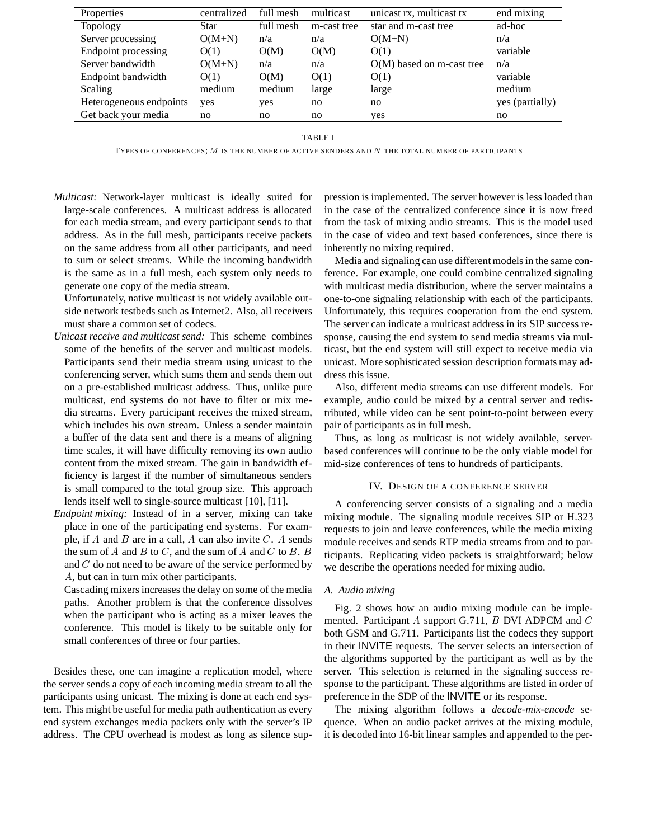| Properties              | centralized | full mesh | multicast   | unicast rx, multicast tx  | end mixing      |
|-------------------------|-------------|-----------|-------------|---------------------------|-----------------|
| <b>Topology</b>         | Star        | full mesh | m-cast tree | star and m-cast tree      | ad-hoc          |
| Server processing       | $O(M+N)$    | n/a       | n/a         | $O(M+N)$                  | n/a             |
| Endpoint processing     | O(1)        | O(M)      | O(M)        | O(1)                      | variable        |
| Server bandwidth        | $O(M+N)$    | n/a       | n/a         | O(M) based on m-cast tree | n/a             |
| Endpoint bandwidth      | O(1)        | O(M)      | O(1)        | O(1)                      | variable        |
| Scaling                 | medium      | medium    | large       | large                     | medium          |
| Heterogeneous endpoints | yes         | yes       | no.         | no                        | yes (partially) |
| Get back your media     | no          | no        | no          | yes                       | no              |

TABLE I

TYPES OF CONFERENCES; <sup>M</sup> IS THE NUMBER OF ACTIVE SENDERS AND <sup>N</sup> THE TOTAL NUMBER OF PARTICIPANTS

*Multicast:* Network-layer multicast is ideally suited for large-scale conferences. A multicast address is allocated for each media stream, and every participant sends to that address. As in the full mesh, participants receive packets on the same address from all other participants, and need to sum or select streams. While the incoming bandwidth is the same as in a full mesh, each system only needs to generate one copy of the media stream.

Unfortunately, native multicast is not widely available outside network testbeds such as Internet2. Also, all receivers must share a common set of codecs.

- *Unicast receive and multicast send:* This scheme combines some of the benefits of the server and multicast models. Participants send their media stream using unicast to the conferencing server, which sums them and sends them out on a pre-established multicast address. Thus, unlike pure multicast, end systems do not have to filter or mix media streams. Every participant receives the mixed stream, which includes his own stream. Unless a sender maintain a buffer of the data sent and there is a means of aligning time scales, it will have difficulty removing its own audio content from the mixed stream. The gain in bandwidth efficiency is largest if the number of simultaneous senders is small compared to the total group size. This approach lends itself well to single-source multicast [10], [11].
- *Endpoint mixing:* Instead of in a server, mixing can take place in one of the participating end systems. For example, if  $A$  and  $B$  are in a call,  $A$  can also invite  $C$ .  $A$  sends the sum of  $A$  and  $B$  to  $C$ , and the sum of  $A$  and  $C$  to  $B$ .  $B$ and C do not need to be aware of the service performed by A, but can in turn mix other participants.

Cascading mixers increases the delay on some of the media paths. Another problem is that the conference dissolves when the participant who is acting as a mixer leaves the conference. This model is likely to be suitable only for small conferences of three or four parties.

Besides these, one can imagine a replication model, where the server sends a copy of each incoming media stream to all the participants using unicast. The mixing is done at each end system. This might be useful for media path authentication as every end system exchanges media packets only with the server's IP address. The CPU overhead is modest as long as silence suppression is implemented. The server however is less loaded than in the case of the centralized conference since it is now freed from the task of mixing audio streams. This is the model used in the case of video and text based conferences, since there is inherently no mixing required.

Media and signaling can use different models in the same conference. For example, one could combine centralized signaling with multicast media distribution, where the server maintains a one-to-one signaling relationship with each of the participants. Unfortunately, this requires cooperation from the end system. The server can indicate a multicast address in its SIP success response, causing the end system to send media streams via multicast, but the end system will still expect to receive media via unicast. More sophisticated session description formats may address this issue.

Also, different media streams can use different models. For example, audio could be mixed by a central server and redistributed, while video can be sent point-to-point between every pair of participants as in full mesh.

Thus, as long as multicast is not widely available, serverbased conferences will continue to be the only viable model for mid-size conferences of tens to hundreds of participants.

#### IV. DESIGN OF A CONFERENCE SERVER

A conferencing server consists of a signaling and a media mixing module. The signaling module receives SIP or H.323 requests to join and leave conferences, while the media mixing module receives and sends RTP media streams from and to participants. Replicating video packets is straightforward; below we describe the operations needed for mixing audio.

#### *A. Audio mixing*

Fig. 2 shows how an audio mixing module can be implemented. Participant A support G.711,  $B$  DVI ADPCM and  $C$ both GSM and G.711. Participants list the codecs they support in their INVITE requests. The server selects an intersection of the algorithms supported by the participant as well as by the server. This selection is returned in the signaling success response to the participant. These algorithms are listed in order of preference in the SDP of the INVITE or its response.

The mixing algorithm follows a *decode-mix-encode* sequence. When an audio packet arrives at the mixing module, it is decoded into 16-bit linear samples and appended to the per-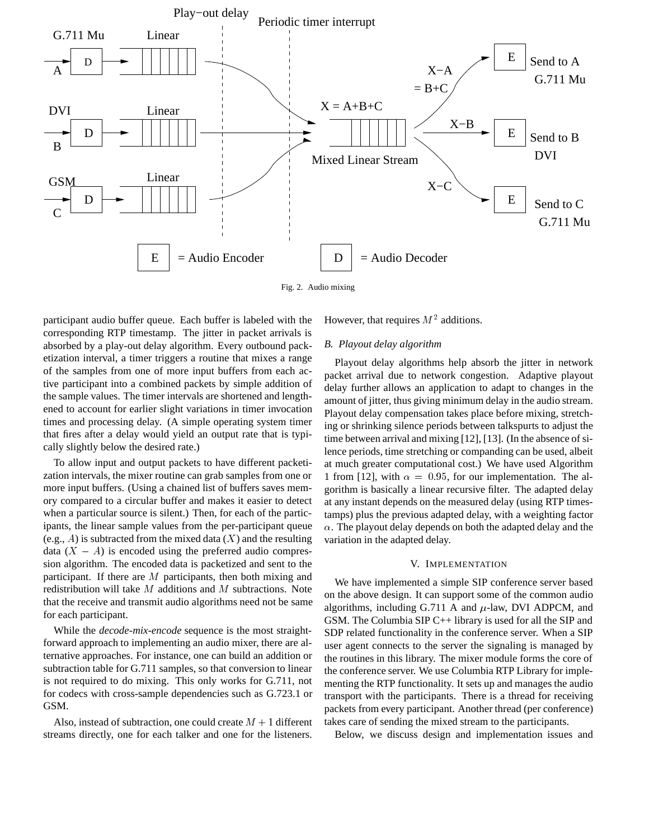

Fig. 2. Audio mixing

participant audio buffer queue. Each buffer is labeled with the corresponding RTP timestamp. The jitter in packet arrivals is absorbed by a play-out delay algorithm. Every outbound packetization interval, a timer triggers a routine that mixes a range of the samples from one of more input buffers from each active participant into a combined packets by simple addition of the sample values. The timer intervals are shortened and lengthened to account for earlier slight variations in timer invocation times and processing delay. (A simple operating system timer that fires after a delay would yield an output rate that is typically slightly below the desired rate.)

To allow input and output packets to have different packetization intervals, the mixer routine can grab samples from one or more input buffers. (Using a chained list of buffers saves memory compared to a circular buffer and makes it easier to detect when a particular source is silent.) Then, for each of the participants, the linear sample values from the per-participant queue (e.g., A) is subtracted from the mixed data  $(X)$  and the resulting data  $(X - A)$  is encoded using the preferred audio compression algorithm. The encoded data is packetized and sent to the participant. If there are  $M$  participants, then both mixing and redistribution will take  $M$  additions and  $M$  subtractions. Note that the receive and transmit audio algorithms need not be same for each participant.

While the *decode-mix-encode* sequence is the most straightforward approach to implementing an audio mixer, there are alternative approaches. For instance, one can build an addition or subtraction table for G.711 samples, so that conversion to linear is not required to do mixing. This only works for G.711, not for codecs with cross-sample dependencies such as G.723.1 or GSM.

Also, instead of subtraction, one could create  $M + 1$  different streams directly, one for each talker and one for the listeners.

However, that requires  $M^2$  additions.

# *B. Playout delay algorithm*

Playout delay algorithms help absorb the jitter in network packet arrival due to network congestion. Adaptive playout delay further allows an application to adapt to changes in the amount of jitter, thus giving minimum delay in the audio stream. Playout delay compensation takes place before mixing, stretching or shrinking silence periods between talkspurts to adjust the time between arrival and mixing [12], [13]. (In the absence of silence periods, time stretching or companding can be used, albeit at much greater computational cost.) We have used Algorithm 1 from [12], with  $\alpha = 0.95$ , for our implementation. The algorithm is basically a linear recursive filter. The adapted delay at any instant depends on the measured delay (using RTP timestamps) plus the previous adapted delay, with a weighting factor  $\alpha$ . The playout delay depends on both the adapted delay and the variation in the adapted delay.

#### V. IMPLEMENTATION

We have implemented a simple SIP conference server based on the above design. It can support some of the common audio algorithms, including G.711 A and  $\mu$ -law, DVI ADPCM, and GSM. The Columbia SIP C++ library is used for all the SIP and SDP related functionality in the conference server. When a SIP user agent connects to the server the signaling is managed by the routines in this library. The mixer module forms the core of the conference server. We use Columbia RTP Library for implementing the RTP functionality. It sets up and manages the audio transport with the participants. There is a thread for receiving packets from every participant. Another thread (per conference) takes care of sending the mixed stream to the participants.

Below, we discuss design and implementation issues and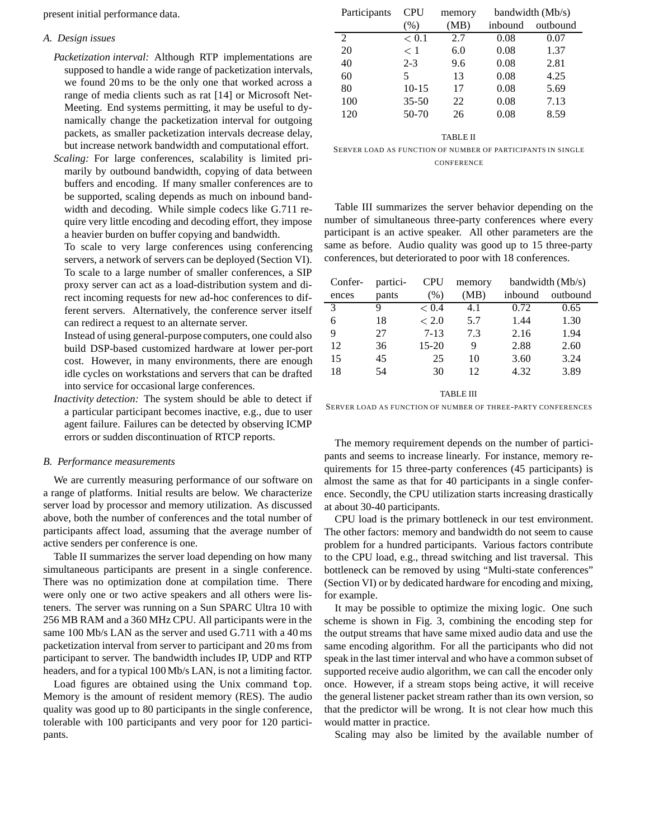present initial performance data.

#### *A. Design issues*

- *Packetization interval:* Although RTP implementations are supposed to handle a wide range of packetization intervals, we found 20 ms to be the only one that worked across a range of media clients such as rat [14] or Microsoft Net-Meeting. End systems permitting, it may be useful to dynamically change the packetization interval for outgoing packets, as smaller packetization intervals decrease delay, but increase network bandwidth and computational effort.
- *Scaling:* For large conferences, scalability is limited primarily by outbound bandwidth, copying of data between buffers and encoding. If many smaller conferences are to be supported, scaling depends as much on inbound bandwidth and decoding. While simple codecs like G.711 require very little encoding and decoding effort, they impose a heavier burden on buffer copying and bandwidth.

To scale to very large conferences using conferencing servers, a network of servers can be deployed (Section VI). To scale to a large number of smaller conferences, a SIP proxy server can act as a load-distribution system and direct incoming requests for new ad-hoc conferences to different servers. Alternatively, the conference server itself can redirect a request to an alternate server.

Instead of using general-purpose computers, one could also build DSP-based customized hardware at lower per-port cost. However, in many environments, there are enough idle cycles on workstations and servers that can be drafted into service for occasional large conferences.

*Inactivity detection:* The system should be able to detect if a particular participant becomes inactive, e.g., due to user agent failure. Failures can be detected by observing ICMP errors or sudden discontinuation of RTCP reports.

#### *B. Performance measurements*

We are currently measuring performance of our software on a range of platforms. Initial results are below. We characterize server load by processor and memory utilization. As discussed above, both the number of conferences and the total number of participants affect load, assuming that the average number of active senders per conference is one.

Table II summarizes the server load depending on how many simultaneous participants are present in a single conference. There was no optimization done at compilation time. There were only one or two active speakers and all others were listeners. The server was running on a Sun SPARC Ultra 10 with 256 MB RAM and a 360 MHz CPU. All participants were in the same 100 Mb/s LAN as the server and used G.711 with a 40 ms packetization interval from server to participant and 20 ms from participant to server. The bandwidth includes IP, UDP and RTP headers, and for a typical 100 Mb/s LAN, is not a limiting factor.

Load figures are obtained using the Unix command top. Memory is the amount of resident memory (RES). The audio quality was good up to 80 participants in the single conference, tolerable with 100 participants and very poor for 120 participants.

| Participants | <b>CPU</b> | memory | bandwidth (Mb/s) |          |
|--------------|------------|--------|------------------|----------|
|              | (% )       | (MB)   | inbound          | outbound |
| 2            | < 0.1      | 2.7    | 0.08             | 0.07     |
| 20           | $\leq 1$   | 6.0    | 0.08             | 1.37     |
| 40           | $2 - 3$    | 9.6    | 0.08             | 2.81     |
| 60           | 5          | 13     | 0.08             | 4.25     |
| 80           | $10 - 15$  | 17     | 0.08             | 5.69     |
| 100          | $35 - 50$  | 22     | 0.08             | 7.13     |
| 120          | $50-70$    | 26     | 0.08             | 8.59     |
|              |            |        |                  |          |

TABLE II

SERVER LOAD AS FUNCTION OF NUMBER OF PARTICIPANTS IN SINGLE **CONFERENCE** 

Table III summarizes the server behavior depending on the number of simultaneous three-party conferences where every participant is an active speaker. All other parameters are the same as before. Audio quality was good up to 15 three-party conferences, but deteriorated to poor with 18 conferences.

| Confer-       | partici- | <b>CPU</b> | memory | bandwidth (Mb/s) |          |
|---------------|----------|------------|--------|------------------|----------|
| ences         | pants    | (% )       | (MB)   | inbound          | outbound |
| $\mathcal{R}$ | 9        | ${}_{0.4}$ | 4.1    | 0.72             | 0.65     |
| 6             | 18       | < 2.0      | 5.7    | 1.44             | 1.30     |
| 9             | 27       | $7 - 13$   | 7.3    | 2.16             | 1.94     |
| 12            | 36       | $15 - 20$  | 9      | 2.88             | 2.60     |
| 15            | 45       | 25         | 10     | 3.60             | 3.24     |
| 18            | 54       | 30         | 12     | 4.32             | 3.89     |

TABLE III

SERVER LOAD AS FUNCTION OF NUMBER OF THREE-PARTY CONFERENCES

The memory requirement depends on the number of participants and seems to increase linearly. For instance, memory requirements for 15 three-party conferences (45 participants) is almost the same as that for 40 participants in a single conference. Secondly, the CPU utilization starts increasing drastically at about 30-40 participants.

CPU load is the primary bottleneck in our test environment. The other factors: memory and bandwidth do not seem to cause problem for a hundred participants. Various factors contribute to the CPU load, e.g., thread switching and list traversal. This bottleneck can be removed by using "Multi-state conferences" (Section VI) or by dedicated hardware for encoding and mixing, for example.

It may be possible to optimize the mixing logic. One such scheme is shown in Fig. 3, combining the encoding step for the output streams that have same mixed audio data and use the same encoding algorithm. For all the participants who did not speak in the last timer interval and who have a common subset of supported receive audio algorithm, we can call the encoder only once. However, if a stream stops being active, it will receive the general listener packet stream rather than its own version, so that the predictor will be wrong. It is not clear how much this would matter in practice.

Scaling may also be limited by the available number of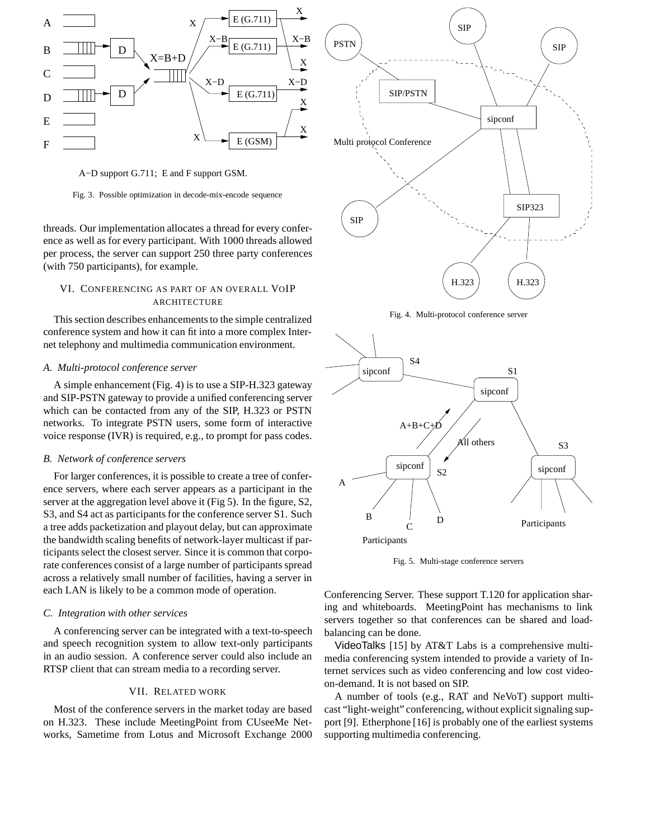

A−D support G.711; E and F support GSM.

Fig. 3. Possible optimization in decode-mix-encode sequence

threads. Our implementation allocates a thread for every conference as well as for every participant. With 1000 threads allowed per process, the server can support 250 three party conferences (with 750 participants), for example.

# VI. CONFERENCING AS PART OF AN OVERALL VOIP **ARCHITECTURE**

This section describes enhancements to the simple centralized conference system and how it can fit into a more complex Internet telephony and multimedia communication environment.

# *A. Multi-protocol conference server*

A simple enhancement (Fig. 4) is to use a SIP-H.323 gateway and SIP-PSTN gateway to provide a unified conferencing server which can be contacted from any of the SIP, H.323 or PSTN networks. To integrate PSTN users, some form of interactive voice response (IVR) is required, e.g., to prompt for pass codes.

#### *B. Network of conference servers*

For larger conferences, it is possible to create a tree of conference servers, where each server appears as a participant in the server at the aggregation level above it (Fig 5). In the figure, S2, S3, and S4 act as participants for the conference server S1. Such a tree adds packetization and playout delay, but can approximate the bandwidth scaling benefits of network-layer multicast if participants select the closest server. Since it is common that corporate conferences consist of a large number of participants spread across a relatively small number of facilities, having a server in each LAN is likely to be a common mode of operation.

# *C. Integration with other services*

A conferencing server can be integrated with a text-to-speech and speech recognition system to allow text-only participants in an audio session. A conference server could also include an RTSP client that can stream media to a recording server.

# VII. RELATED WORK

Most of the conference servers in the market today are based on H.323. These include MeetingPoint from CUseeMe Networks, Sametime from Lotus and Microsoft Exchange 2000



Fig. 4. Multi-protocol conference server



Fig. 5. Multi-stage conference servers

Conferencing Server. These support T.120 for application sharing and whiteboards. MeetingPoint has mechanisms to link servers together so that conferences can be shared and loadbalancing can be done.

VideoTalks [15] by AT&T Labs is a comprehensive multimedia conferencing system intended to provide a variety of Internet services such as video conferencing and low cost videoon-demand. It is not based on SIP.

A number of tools (e.g., RAT and NeVoT) support multicast "light-weight" conferencing, without explicit signaling support [9]. Etherphone [16] is probably one of the earliest systems supporting multimedia conferencing.